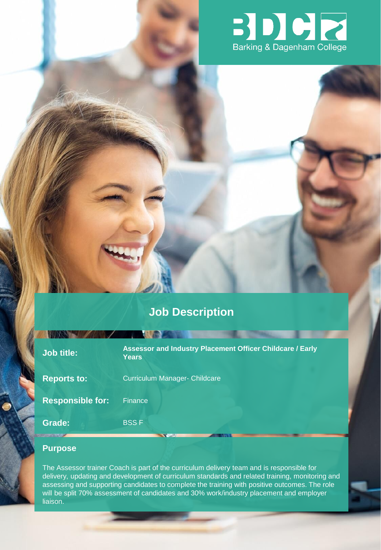

# **Job Description**

| <b>Job title:</b>       | Assessor and Industry Placement Officer Childcare / Early<br><b>Years</b> |
|-------------------------|---------------------------------------------------------------------------|
| <b>Reports to:</b>      | <b>Curriculum Manager- Childcare</b>                                      |
| <b>Responsible for:</b> | <b>Finance</b>                                                            |
| Grade:                  | <b>BSSF</b>                                                               |

## **Purpose**

The Assessor trainer Coach is part of the curriculum delivery team and is responsible for delivery, updating and development of curriculum standards and related training, monitoring and assessing and supporting candidates to complete the training with positive outcomes. The role will be split 70% assessment of candidates and 30% work/industry placement and employer liaison.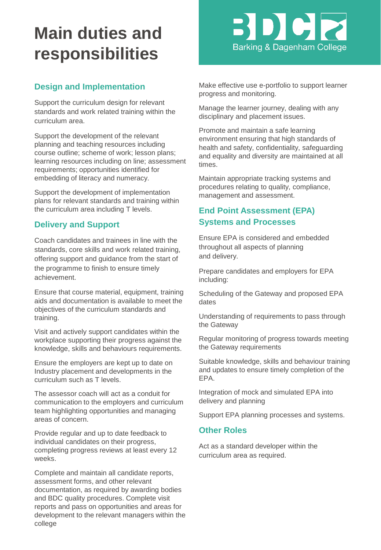# **Main duties and responsibilities**

### **Design and Implementation**

Support the curriculum design for relevant standards and work related training within the curriculum area.

Support the development of the relevant planning and teaching resources including course outline; scheme of work; lesson plans; learning resources including on line; assessment requirements; opportunities identified for embedding of literacy and numeracy.

Support the development of implementation plans for relevant standards and training within the curriculum area including T levels.

#### **Delivery and Support**

Coach candidates and trainees in line with the standards, core skills and work related training, offering support and guidance from the start of the programme to finish to ensure timely achievement.

Ensure that course material, equipment, training aids and documentation is available to meet the objectives of the curriculum standards and training.

Visit and actively support candidates within the workplace supporting their progress against the knowledge, skills and behaviours requirements.

Ensure the employers are kept up to date on Industry placement and developments in the curriculum such as T levels.

The assessor coach will act as a conduit for communication to the employers and curriculum team highlighting opportunities and managing areas of concern.

Provide regular and up to date feedback to individual candidates on their progress, completing progress reviews at least every 12 weeks.

Complete and maintain all candidate reports, assessment forms, and other relevant documentation, as required by awarding bodies and BDC quality procedures. Complete visit reports and pass on opportunities and areas for development to the relevant managers within the college

DIC **Barking & Dagenham College** 

Make effective use e-portfolio to support learner progress and monitoring.

Manage the learner journey, dealing with any disciplinary and placement issues.

Promote and maintain a safe learning environment ensuring that high standards of health and safety, confidentiality, safeguarding and equality and diversity are maintained at all times.

Maintain appropriate tracking systems and procedures relating to quality, compliance, management and assessment.

#### **End Point Assessment (EPA) Systems and Processes**

Ensure EPA is considered and embedded throughout all aspects of planning and delivery.

Prepare candidates and employers for EPA including:

Scheduling of the Gateway and proposed EPA dates

Understanding of requirements to pass through the Gateway

Regular monitoring of progress towards meeting the Gateway requirements

Suitable knowledge, skills and behaviour training and updates to ensure timely completion of the EPA.

Integration of mock and simulated EPA into delivery and planning

Support EPA planning processes and systems.

#### **Other Roles**

Act as a standard developer within the curriculum area as required.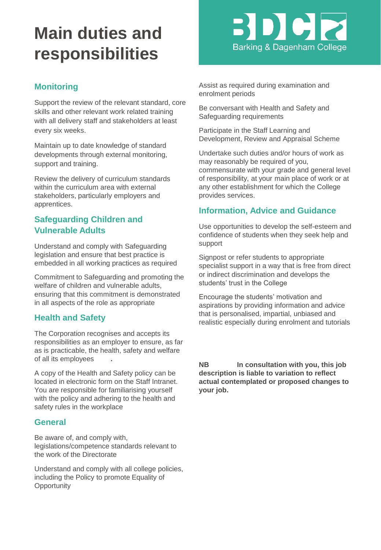# **Main duties and responsibilities**



### **Monitoring**

Support the review of the relevant standard, core skills and other relevant work related training with all delivery staff and stakeholders at least every six weeks.

Maintain up to date knowledge of standard developments through external monitoring, support and training.

Review the delivery of curriculum standards within the curriculum area with external stakeholders, particularly employers and apprentices.

#### **Safeguarding Children and Vulnerable Adults**

Understand and comply with Safeguarding legislation and ensure that best practice is embedded in all working practices as required

Commitment to Safeguarding and promoting the welfare of children and vulnerable adults, ensuring that this commitment is demonstrated in all aspects of the role as appropriate

#### **Health and Safety**

The Corporation recognises and accepts its responsibilities as an employer to ensure, as far as is practicable, the health, safety and welfare of all its employees **.** 

A copy of the Health and Safety policy can be located in electronic form on the Staff Intranet. You are responsible for familiarising yourself with the policy and adhering to the health and safety rules in the workplace

#### **General**

Be aware of, and comply with, legislations/competence standards relevant to the work of the Directorate

Understand and comply with all college policies, including the Policy to promote Equality of **Opportunity** 

Assist as required during examination and enrolment periods

Be conversant with Health and Safety and Safeguarding requirements

Participate in the Staff Learning and Development, Review and Appraisal Scheme

Undertake such duties and/or hours of work as may reasonably be required of you, commensurate with your grade and general level of responsibility, at your main place of work or at any other establishment for which the College provides services.

#### **Information, Advice and Guidance**

Use opportunities to develop the self-esteem and confidence of students when they seek help and support

Signpost or refer students to appropriate specialist support in a way that is free from direct or indirect discrimination and develops the students' trust in the College

Encourage the students' motivation and aspirations by providing information and advice that is personalised, impartial, unbiased and realistic especially during enrolment and tutorials

**NB In consultation with you, this job description is liable to variation to reflect actual contemplated or proposed changes to your job.**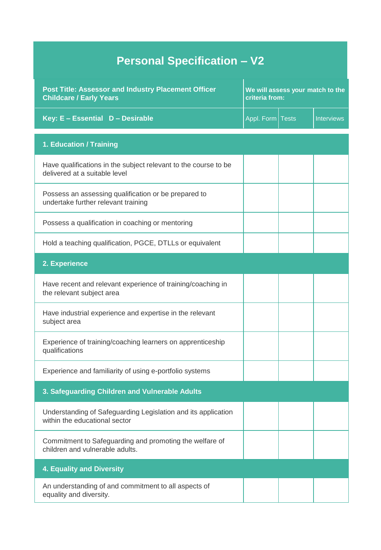| <b>Personal Specification - V2</b>                                                               |                    |                                                    |                   |  |  |  |
|--------------------------------------------------------------------------------------------------|--------------------|----------------------------------------------------|-------------------|--|--|--|
| Post Title: Assessor and Industry Placement Officer<br><b>Childcare / Early Years</b>            |                    | We will assess your match to the<br>criteria from: |                   |  |  |  |
| Key: E - Essential D - Desirable                                                                 | Appl. Form   Tests |                                                    | <b>Interviews</b> |  |  |  |
| 1. Education / Training                                                                          |                    |                                                    |                   |  |  |  |
| Have qualifications in the subject relevant to the course to be<br>delivered at a suitable level |                    |                                                    |                   |  |  |  |
| Possess an assessing qualification or be prepared to<br>undertake further relevant training      |                    |                                                    |                   |  |  |  |
| Possess a qualification in coaching or mentoring                                                 |                    |                                                    |                   |  |  |  |
| Hold a teaching qualification, PGCE, DTLLs or equivalent                                         |                    |                                                    |                   |  |  |  |
| 2. Experience                                                                                    |                    |                                                    |                   |  |  |  |
| Have recent and relevant experience of training/coaching in<br>the relevant subject area         |                    |                                                    |                   |  |  |  |
| Have industrial experience and expertise in the relevant<br>subject area                         |                    |                                                    |                   |  |  |  |
| Experience of training/coaching learners on apprenticeship<br>qualifications                     |                    |                                                    |                   |  |  |  |
| Experience and familiarity of using e-portfolio systems                                          |                    |                                                    |                   |  |  |  |
| 3. Safeguarding Children and Vulnerable Adults                                                   |                    |                                                    |                   |  |  |  |
| Understanding of Safeguarding Legislation and its application<br>within the educational sector   |                    |                                                    |                   |  |  |  |
| Commitment to Safeguarding and promoting the welfare of<br>children and vulnerable adults.       |                    |                                                    |                   |  |  |  |
| <b>4. Equality and Diversity</b>                                                                 |                    |                                                    |                   |  |  |  |
| An understanding of and commitment to all aspects of<br>equality and diversity.                  |                    |                                                    |                   |  |  |  |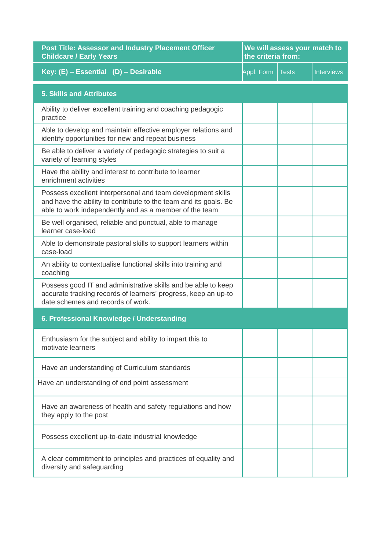| Post Title: Assessor and Industry Placement Officer<br><b>Childcare / Early Years</b>                                                                                                     |            | We will assess your match to<br>the criteria from: |                   |  |
|-------------------------------------------------------------------------------------------------------------------------------------------------------------------------------------------|------------|----------------------------------------------------|-------------------|--|
| Key: (E) - Essential (D) - Desirable                                                                                                                                                      | Appl. Form | <b>Tests</b>                                       | <b>Interviews</b> |  |
| <b>5. Skills and Attributes</b>                                                                                                                                                           |            |                                                    |                   |  |
| Ability to deliver excellent training and coaching pedagogic<br>practice                                                                                                                  |            |                                                    |                   |  |
| Able to develop and maintain effective employer relations and<br>identify opportunities for new and repeat business                                                                       |            |                                                    |                   |  |
| Be able to deliver a variety of pedagogic strategies to suit a<br>variety of learning styles                                                                                              |            |                                                    |                   |  |
| Have the ability and interest to contribute to learner<br>enrichment activities                                                                                                           |            |                                                    |                   |  |
| Possess excellent interpersonal and team development skills<br>and have the ability to contribute to the team and its goals. Be<br>able to work independently and as a member of the team |            |                                                    |                   |  |
| Be well organised, reliable and punctual, able to manage<br>learner case-load                                                                                                             |            |                                                    |                   |  |
| Able to demonstrate pastoral skills to support learners within<br>case-load                                                                                                               |            |                                                    |                   |  |
| An ability to contextualise functional skills into training and<br>coaching                                                                                                               |            |                                                    |                   |  |
| Possess good IT and administrative skills and be able to keep<br>accurate tracking records of learners' progress, keep an up-to<br>date schemes and records of work.                      |            |                                                    |                   |  |
| 6. Professional Knowledge / Understanding                                                                                                                                                 |            |                                                    |                   |  |
| Enthusiasm for the subject and ability to impart this to<br>motivate learners                                                                                                             |            |                                                    |                   |  |
| Have an understanding of Curriculum standards                                                                                                                                             |            |                                                    |                   |  |
| Have an understanding of end point assessment                                                                                                                                             |            |                                                    |                   |  |
| Have an awareness of health and safety regulations and how<br>they apply to the post                                                                                                      |            |                                                    |                   |  |
| Possess excellent up-to-date industrial knowledge                                                                                                                                         |            |                                                    |                   |  |
| A clear commitment to principles and practices of equality and<br>diversity and safeguarding                                                                                              |            |                                                    |                   |  |